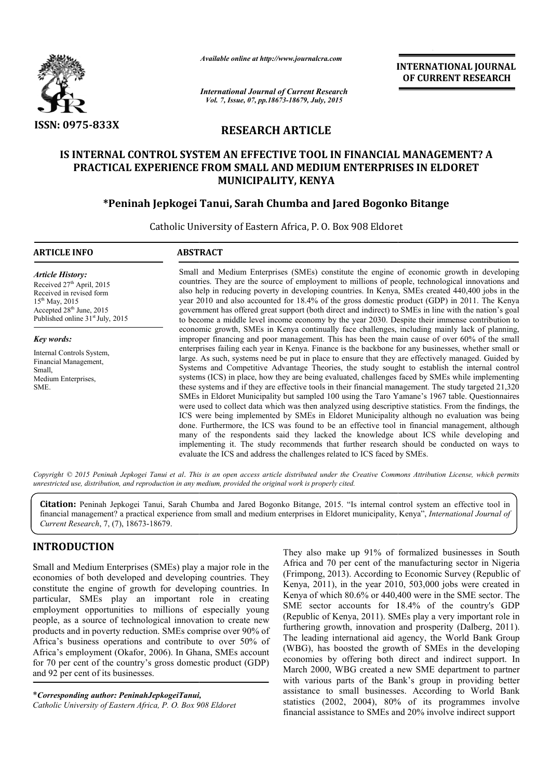

*Available online at http://www.journalcra.com*

INTERNATIONAL INTERNATIONAL JOURNAL OF CURRENT RESEARCH

*International Journal of Current Research Vol. 7, Issue, 07, pp.18673-18679, July, 2015*

# RESEARCH ARTICLE

# IS INTERNAL CONTROL SYSTEM AN EFFECTIVE TOOL IN FINANCIAL MANAGEMENT? A INTERNAL CONTROL SYSTEM AN EFFECTIVE TOOL IN FINANCIAL MANAGEMENT?<br>PRACTICAL EXPERIENCE FROM SMALL AND MEDIUM ENTERPRISES IN ELDORET MUNICIPALITY, KENYA

# \*Peninah Jepkogei Tanui, Sarah Chumba and Jared Bogonko Tanui, Sarah Bitange

Catholic University of Eastern Africa, P. O. Box 908 Eldoret

#### ARTICLE INFO ABSTRACT Small and Medium Enterprises (SMEs) constitute the engine of economic growth in developing Small and Medium Enterprises (SMEs) constitute the engine of economic growth in developing countries. They are the source of employment to millions of people, technological innovations and also help in reducing poverty in developing countries. In Kenya, SMEs created 440,400 jobs in the year 2010 and also accounted for 18.4% of the gross domestic product (GDP) in 2011. The Kenya government has offered great support (both direct and indirect) to SMEs in line with the nation's goal to become a middle level income economy by the year 2030. Despite their immense contribution to economic growth, SMEs in Kenya continually face challenges, including mainly lack of planning, improper financing and poor management. This has been the main cause of over 60% of the small enterprises failing each year in Kenya. Finance is the backbone for any businesses, whether small or large. As such, systems need be put in place to ensure that they are effectively managed. Guided by Systems and Competitive Advantage Theories, the study sought to establish the internal control systems (ICS) in place, how they are being evaluated, challenges faced by SMEs while implementing these systems and if they are effective tools in their financial management. The study targeted 21,320 SMEs in Eldoret Municipality but sampled 100 using the Taro Yamane's 1967 table. Questionnaires *Article History:* Received 27<sup>th</sup> April, 2015 Received in revised form 15<sup>th</sup> May, 2015 Accepted 28<sup>th</sup> June, 2015 Published online 31<sup>st</sup> July, 2015 *Key words:* Internal Controls System, Financial Management, Small, Medium Enterprises, SME.  $\overline{a}$ in reducing poverty in developing countries. In Kenya, SMEs created 440,400 jobs in the and also accounted for 18.4% of the gross domestic product (GDP) in 2011. The Kenya nt has offered great support (both direct and indi ms (ICS) in place, how they are being evaluated, challenges faced by SMEs while implementing<br>systems and if they are effective tools in their financial management. The study targeted 21,320<br>s in Eldoret Municipality but sa

were used to collect data which was then analyzed using descriptive statistics. From the findings, the ICS were being implemented by SMEs in Eldoret Municipality although no evaluation was being done. Furthermore, the ICS was found to be an effective tool in financial management, although many of the respondents said they lacked the knowledge about ICS while developing and implementing it. The study recommends that further research should be conducted on ways to evaluate the ICS and address the challenges related to ICS faced by SMEs. being implemented by SMEs in Eldoret Municipality although no evaluation was thermore, the ICS was found to be an effective tool in financial management, although the respondents said they lacked the knowledge about ICS wh

Copyright © 2015 Peninah Jepkogei Tanui et al. This is an open access article distributed under the Creative Commons Attribution License, which permits *unrestricted use, distribution, and reproduction in any medium, provided the original work is properly cited.*

Citation: Peninah Jepkogei Tanui, Sarah Chumba and Jared Bogonko Bitange, 2015. "Is internal control system an effective tool in Citation: Peninah Jepkogei Tanui, Sarah Chumba and Jared Bogonko Bitange, 2015. "Is internal control system an effective tool in<br>financial management? a practical experience from small and medium enterprises in Eldoret mun *Current Research*, 7, (7), 18673-18679.

# INTRODUCTION

Small and Medium Enterprises (SMEs) play a major role in the economies of both developed and developing countries. They constitute the engine of growth for developing countries. In particular, SMEs play an important role in creating employment opportunities to millions of especially young people, as a source of technological innovation to create new products and in poverty reduction. SMEs comprise over 90% of Africa's business operations and contribute to over 50% of Africa's employment (Okafor, 2006). In Ghana, SMEs account for 70 per cent of the country's gross domestic product (GDP) and 92 per cent of its businesses.

\**Corresponding author: PeninahJepkogeiTanui PeninahJepkogeiTanui, Catholic University of Eastern Africa, P. O. Box 908 Eldoret* They also make up 91% of formalized businesses in South Africa and 70 per cent of the manufacturing sector in Nigeria (Frimpong, 2013). According to Economic Survey (Republic of Kenya, 2011), in the year 2010, 503,000 jobs were created in Kenya of which 80.6% or 440,400 were in the SME sector. The SME sector accounts for 18.4% of the country's GDP (Republic of Kenya, 2011). SMEs play a very important role in furthering growth, innovation and prosperity (Dalberg, 2011). The leading international aid agency, the World Bank Group (WBG), has boosted the growth of SMEs in the developing economies by offering both direct and indirect support. In March 2000, WBG created a new SME department to partner with various parts of the Bank's group in providing better assistance to small businesses. According to World Bank statistics (2002, 2004), 80% of its programmes involve financial assistance to SMEs and 20% involve indirect support llso make up 91% of formalized businesses in South and 70 per cent of the manufacturing sector in Nigeria ong, 2013). According to Economic Survey (Republic of 2011), in the year 2010, 503,000 jobs were created in of which **EXERVAL GROW CONSTRANT CONVERT CONVERTMENT CONVERT CONVERT CONVERT CONVERT CONVERT CONVERT CONVERT CONVERT CONVERT CONVERT CONVERT CONVERT CONVERT CONVERT CONVERT CONVERT CONVERT CONVERT CONVERT CONVERT CONVERT CONVERT C**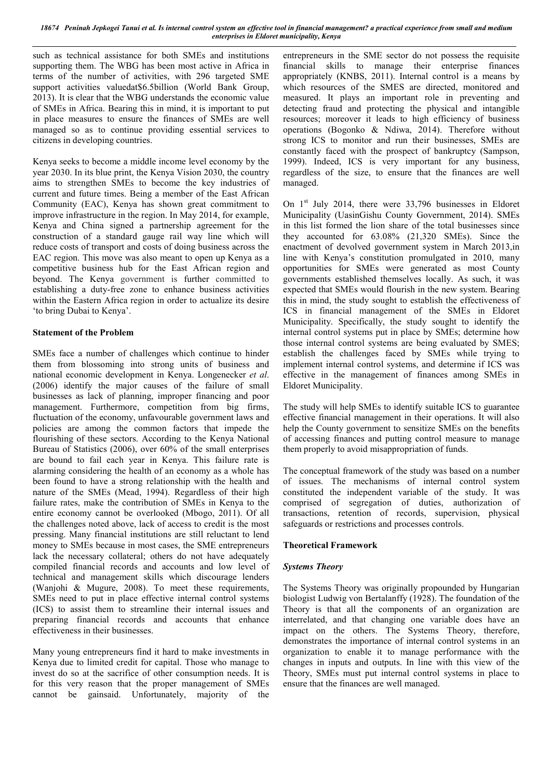*18674 Peninah Jepkogei Tanui et al. Is internal control system an effective tool in financial management? a practical experience from small and medium enterprises in Eldoret municipality, Kenya*

such as technical assistance for both SMEs and institutions supporting them. The WBG has been most active in Africa in terms of the number of activities, with 296 targeted SME support activities valuedat\$6.5billion (World Bank Group, 2013). It is clear that the WBG understands the economic value of SMEs in Africa. Bearing this in mind, it is important to put in place measures to ensure the finances of SMEs are well managed so as to continue providing essential services to citizens in developing countries.

Kenya seeks to become a middle income level economy by the year 2030. In its blue print, the Kenya Vision 2030, the country aims to strengthen SMEs to become the key industries of current and future times. Being a member of the East African Community (EAC), Kenya has shown great commitment to improve infrastructure in the region. In May 2014, for example, Kenya and China signed a partnership agreement for the construction of a standard gauge rail way line which will reduce costs of transport and costs of doing business across the EAC region. This move was also meant to open up Kenya as a competitive business hub for the East African region and beyond. The Kenya government is further committed to establishing a duty-free zone to enhance business activities within the Eastern Africa region in order to actualize its desire 'to bring Dubai to Kenya'.

### Statement of the Problem

SMEs face a number of challenges which continue to hinder them from blossoming into strong units of business and national economic development in Kenya. Longenecker *et al*. (2006) identify the major causes of the failure of small businesses as lack of planning, improper financing and poor management. Furthermore, competition from big firms, fluctuation of the economy, unfavourable government laws and policies are among the common factors that impede the flourishing of these sectors. According to the Kenya National Bureau of Statistics (2006), over 60% of the small enterprises are bound to fail each year in Kenya. This failure rate is alarming considering the health of an economy as a whole has been found to have a strong relationship with the health and nature of the SMEs (Mead, 1994). Regardless of their high failure rates, make the contribution of SMEs in Kenya to the entire economy cannot be overlooked (Mbogo, 2011). Of all the challenges noted above, lack of access to credit is the most pressing. Many financial institutions are still reluctant to lend money to SMEs because in most cases, the SME entrepreneurs lack the necessary collateral; others do not have adequately compiled financial records and accounts and low level of technical and management skills which discourage lenders (Wanjohi & Mugure, 2008). To meet these requirements, SMEs need to put in place effective internal control systems (ICS) to assist them to streamline their internal issues and preparing financial records and accounts that enhance effectiveness in their businesses.

Many young entrepreneurs find it hard to make investments in Kenya due to limited credit for capital. Those who manage to invest do so at the sacrifice of other consumption needs. It is for this very reason that the proper management of SMEs cannot be gainsaid. Unfortunately, majority of the

entrepreneurs in the SME sector do not possess the requisite financial skills to manage their enterprise finances appropriately (KNBS, 2011). Internal control is a means by which resources of the SMES are directed, monitored and measured. It plays an important role in preventing and detecting fraud and protecting the physical and intangible resources; moreover it leads to high efficiency of business operations (Bogonko & Ndiwa, 2014). Therefore without strong ICS to monitor and run their businesses, SMEs are constantly faced with the prospect of bankruptcy (Sampson, 1999). Indeed, ICS is very important for any business, regardless of the size, to ensure that the finances are well managed.

On 1<sup>st</sup> July 2014, there were 33,796 businesses in Eldoret Municipality (UasinGishu County Government, 2014). SMEs in this list formed the lion share of the total businesses since they accounted for 63.08% (21,320 SMEs). Since the enactment of devolved government system in March 2013,in line with Kenya's constitution promulgated in 2010, many opportunities for SMEs were generated as most County governments established themselves locally. As such, it was expected that SMEs would flourish in the new system. Bearing this in mind, the study sought to establish the effectiveness of ICS in financial management of the SMEs in Eldoret Municipality. Specifically, the study sought to identify the internal control systems put in place by SMEs; determine how those internal control systems are being evaluated by SMES; establish the challenges faced by SMEs while trying to implement internal control systems, and determine if ICS was effective in the management of finances among SMEs in Eldoret Municipality.

The study will help SMEs to identify suitable ICS to guarantee effective financial management in their operations. It will also help the County government to sensitize SMEs on the benefits of accessing finances and putting control measure to manage them properly to avoid misappropriation of funds.

The conceptual framework of the study was based on a number of issues. The mechanisms of internal control system constituted the independent variable of the study. It was comprised of segregation of duties, authorization of transactions, retention of records, supervision, physical safeguards or restrictions and processes controls.

#### Theoretical Framework

#### *Systems Theory*

The Systems Theory was originally propounded by Hungarian biologist Ludwig von Bertalanffy (1928). The foundation of the Theory is that all the components of an organization are interrelated, and that changing one variable does have an impact on the others. The Systems Theory, therefore, demonstrates the importance of internal control systems in an organization to enable it to manage performance with the changes in inputs and outputs. In line with this view of the Theory, SMEs must put internal control systems in place to ensure that the finances are well managed.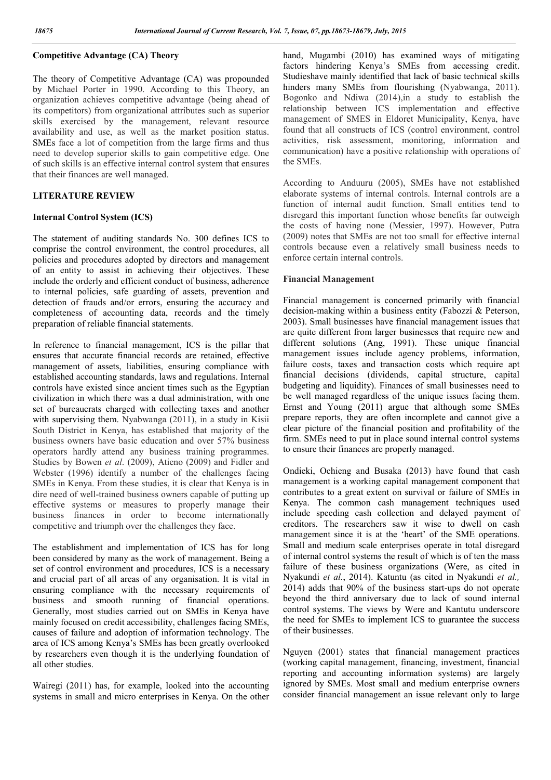### Competitive Advantage (CA) Theory

The theory of Competitive Advantage (CA) was propounded by Michael Porter in 1990. According to this Theory, an organization achieves competitive advantage (being ahead of its competitors) from organizational attributes such as superior skills exercised by the management, relevant resource availability and use, as well as the market position status. SMEs face a lot of competition from the large firms and thus need to develop superior skills to gain competitive edge. One of such skills is an effective internal control system that ensures that their finances are well managed.

### LITERATURE REVIEW

### Internal Control System (ICS)

The statement of auditing standards No. 300 defines ICS to comprise the control environment, the control procedures, all policies and procedures adopted by directors and management of an entity to assist in achieving their objectives. These include the orderly and efficient conduct of business, adherence to internal policies, safe guarding of assets, prevention and detection of frauds and/or errors, ensuring the accuracy and completeness of accounting data, records and the timely preparation of reliable financial statements.

In reference to financial management, ICS is the pillar that ensures that accurate financial records are retained, effective management of assets, liabilities, ensuring compliance with established accounting standards, laws and regulations. Internal controls have existed since ancient times such as the Egyptian civilization in which there was a dual administration, with one set of bureaucrats charged with collecting taxes and another with supervising them. Nyabwanga (2011), in a study in Kisii South District in Kenya, has established that majority of the business owners have basic education and over 57% business operators hardly attend any business training programmes. Studies by Bowen *et al*. (2009), Atieno (2009) and Fidler and Webster (1996) identify a number of the challenges facing SMEs in Kenya. From these studies, it is clear that Kenya is in dire need of well-trained business owners capable of putting up effective systems or measures to properly manage their business finances in order to become internationally competitive and triumph over the challenges they face.

The establishment and implementation of ICS has for long been considered by many as the work of management. Being a set of control environment and procedures, ICS is a necessary and crucial part of all areas of any organisation. It is vital in ensuring compliance with the necessary requirements of business and smooth running of financial operations. Generally, most studies carried out on SMEs in Kenya have mainly focused on credit accessibility, challenges facing SMEs, causes of failure and adoption of information technology. The area of ICS among Kenya's SMEs has been greatly overlooked by researchers even though it is the underlying foundation of all other studies.

Wairegi (2011) has, for example, looked into the accounting systems in small and micro enterprises in Kenya. On the other hand, Mugambi (2010) has examined ways of mitigating factors hindering Kenya's SMEs from accessing credit. Studieshave mainly identified that lack of basic technical skills hinders many SMEs from flourishing (Nyabwanga, 2011). Bogonko and Ndiwa (2014),in a study to establish the relationship between ICS implementation and effective management of SMES in Eldoret Municipality, Kenya, have found that all constructs of ICS (control environment, control activities, risk assessment, monitoring, information and communication) have a positive relationship with operations of the SMEs.

According to Anduuru (2005), SMEs have not established elaborate systems of internal controls. Internal controls are a function of internal audit function. Small entities tend to disregard this important function whose benefits far outweigh the costs of having none (Messier, 1997). However, Putra (2009) notes that SMEs are not too small for effective internal controls because even a relatively small business needs to enforce certain internal controls.

### Financial Management

Financial management is concerned primarily with financial decision-making within a business entity (Fabozzi & Peterson, 2003). Small businesses have financial management issues that are quite different from larger businesses that require new and different solutions (Ang, 1991). These unique financial management issues include agency problems, information, failure costs, taxes and transaction costs which require apt financial decisions (dividends, capital structure, capital budgeting and liquidity). Finances of small businesses need to be well managed regardless of the unique issues facing them. Ernst and Young (2011) argue that although some SMEs prepare reports, they are often incomplete and cannot give a clear picture of the financial position and profitability of the firm. SMEs need to put in place sound internal control systems to ensure their finances are properly managed.

Ondieki, Ochieng and Busaka (2013) have found that cash management is a working capital management component that contributes to a great extent on survival or failure of SMEs in Kenya. The common cash management techniques used include speeding cash collection and delayed payment of creditors. The researchers saw it wise to dwell on cash management since it is at the 'heart' of the SME operations. Small and medium scale enterprises operate in total disregard of internal control systems the result of which is of ten the mass failure of these business organizations (Were, as cited in Nyakundi *et al.*, 2014). Katuntu (as cited in Nyakundi *et al.,*  2014) adds that 90% of the business start-ups do not operate beyond the third anniversary due to lack of sound internal control systems. The views by Were and Kantutu underscore the need for SMEs to implement ICS to guarantee the success of their businesses.

Nguyen (2001) states that financial management practices (working capital management, financing, investment, financial reporting and accounting information systems) are largely ignored by SMEs. Most small and medium enterprise owners consider financial management an issue relevant only to large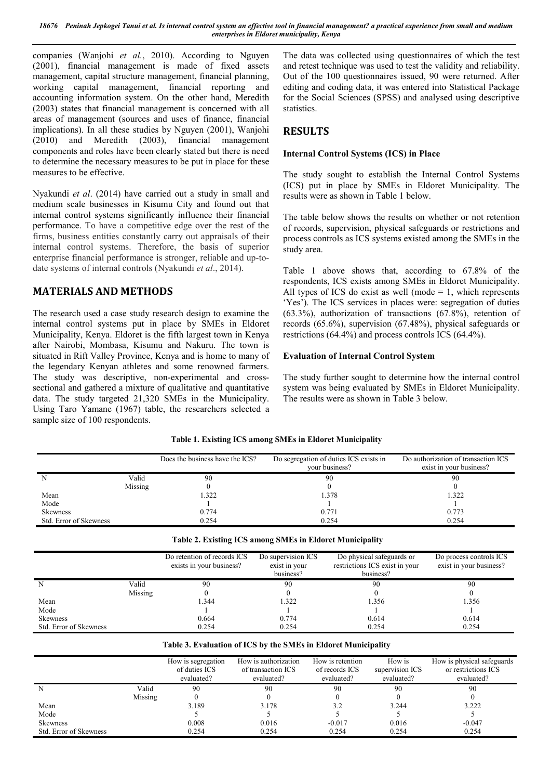*18676 Peninah Jepkogei Tanui et al. Is internal control system an effective tool in financial management? a practical experience from small and medium enterprises in Eldoret municipality, Kenya*

companies (Wanjohi *et al.*, 2010). According to Nguyen (2001), financial management is made of fixed assets management, capital structure management, financial planning, working capital management, financial reporting and accounting information system. On the other hand, Meredith (2003) states that financial management is concerned with all areas of management (sources and uses of finance, financial implications). In all these studies by Nguyen (2001), Wanjohi (2010) and Meredith (2003), financial management components and roles have been clearly stated but there is need to determine the necessary measures to be put in place for these measures to be effective.

Nyakundi *et al*. (2014) have carried out a study in small and medium scale businesses in Kisumu City and found out that internal control systems significantly influence their financial performance. To have a competitive edge over the rest of the firms, business entities constantly carry out appraisals of their internal control systems. Therefore, the basis of superior enterprise financial performance is stronger, reliable and up-todate systems of internal controls (Nyakundi *et al*., 2014).

## MATERIALS AND METHODS

The research used a case study research design to examine the internal control systems put in place by SMEs in Eldoret Municipality, Kenya. Eldoret is the fifth largest town in Kenya after Nairobi, Mombasa, Kisumu and Nakuru. The town is situated in Rift Valley Province, Kenya and is home to many of the legendary Kenyan athletes and some renowned farmers. The study was descriptive, non-experimental and crosssectional and gathered a mixture of qualitative and quantitative data. The study targeted 21,320 SMEs in the Municipality. Using Taro Yamane (1967) table, the researchers selected a sample size of 100 respondents.

The data was collected using questionnaires of which the test and retest technique was used to test the validity and reliability. Out of the 100 questionnaires issued, 90 were returned. After editing and coding data, it was entered into Statistical Package for the Social Sciences (SPSS) and analysed using descriptive statistics.

### RESULTS

### Internal Control Systems (ICS) in Place

The study sought to establish the Internal Control Systems (ICS) put in place by SMEs in Eldoret Municipality. The results were as shown in Table 1 below.

The table below shows the results on whether or not retention of records, supervision, physical safeguards or restrictions and process controls as ICS systems existed among the SMEs in the study area.

Table 1 above shows that, according to 67.8% of the respondents, ICS exists among SMEs in Eldoret Municipality. All types of ICS do exist as well (mode  $= 1$ , which represents 'Yes'). The ICS services in places were: segregation of duties (63.3%), authorization of transactions (67.8%), retention of records (65.6%), supervision (67.48%), physical safeguards or restrictions (64.4%) and process controls ICS (64.4%).

### Evaluation of Internal Control System

The study further sought to determine how the internal control system was being evaluated by SMEs in Eldoret Municipality. The results were as shown in Table 3 below.

|                        | Does the business have the ICS? | Do segregation of duties ICS exists in<br>vour business? | Do authorization of transaction ICS<br>exist in your business? |
|------------------------|---------------------------------|----------------------------------------------------------|----------------------------------------------------------------|
| Valid<br>N             | 90                              | 90                                                       | 90                                                             |
| Missing                |                                 |                                                          |                                                                |
| Mean                   | 1.322                           | 1.378                                                    | 1.322                                                          |
| Mode                   |                                 |                                                          |                                                                |
| <b>Skewness</b>        | 0.774                           | 0.771                                                    | 0.773                                                          |
| Std. Error of Skewness | 0.254                           | 0.254                                                    | 0.254                                                          |

### Table 1. Existing ICS among SMEs in Eldoret Municipality

|                        |         | Do retention of records ICS<br>exists in your business? | Do supervision ICS<br>exist in your<br>business? | Do physical safeguards or<br>restrictions ICS exist in your<br>business? | Do process controls ICS<br>exist in your business? |
|------------------------|---------|---------------------------------------------------------|--------------------------------------------------|--------------------------------------------------------------------------|----------------------------------------------------|
| N                      | Valid   | 90                                                      | 90                                               | 90                                                                       | 90                                                 |
|                        | Missing |                                                         |                                                  |                                                                          |                                                    |
| Mean                   |         | 1.344                                                   | 1.322                                            | 1.356                                                                    | 1.356                                              |
| Mode                   |         |                                                         |                                                  |                                                                          |                                                    |
| <b>Skewness</b>        |         | 0.664                                                   | 0.774                                            | 0.614                                                                    | 0.614                                              |
| Std. Error of Skewness |         | 0.254                                                   | 0.254                                            | 0.254                                                                    | 0.254                                              |

#### Table 3. Evaluation of ICS by the SMEs in Eldoret Municipality

|                        |         | How is segregation<br>of duties ICS<br>evaluated? | How is authorization<br>of transaction ICS<br>evaluated? | How is retention<br>of records ICS<br>evaluated? | How is<br>supervision ICS<br>evaluated? | How is physical safeguards<br>or restrictions ICS<br>evaluated? |
|------------------------|---------|---------------------------------------------------|----------------------------------------------------------|--------------------------------------------------|-----------------------------------------|-----------------------------------------------------------------|
|                        | Valid   | 90                                                | 90                                                       | 90                                               | 90                                      | 90                                                              |
|                        | Missing |                                                   |                                                          |                                                  |                                         |                                                                 |
| Mean                   |         | 3.189                                             | 3.178                                                    | 3.2                                              | 3.244                                   | 3.222                                                           |
| Mode                   |         |                                                   |                                                          |                                                  |                                         |                                                                 |
| <b>Skewness</b>        |         | 0.008                                             | 0.016                                                    | $-0.017$                                         | 0.016                                   | $-0.047$                                                        |
| Std. Error of Skewness |         | 0.254                                             | 0.254                                                    | 0.254                                            | 0.254                                   | 0.254                                                           |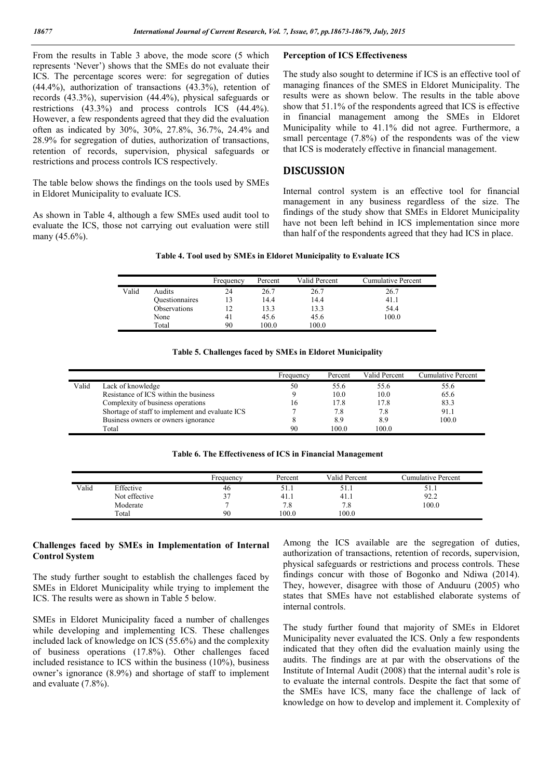From the results in Table 3 above, the mode score (5 which represents 'Never') shows that the SMEs do not evaluate their ICS. The percentage scores were: for segregation of duties (44.4%), authorization of transactions (43.3%), retention of records (43.3%), supervision (44.4%), physical safeguards or restrictions (43.3%) and process controls ICS (44.4%). However, a few respondents agreed that they did the evaluation often as indicated by 30%, 30%, 27.8%, 36.7%, 24.4% and 28.9% for segregation of duties, authorization of transactions, retention of records, supervision, physical safeguards or restrictions and process controls ICS respectively.

The table below shows the findings on the tools used by SMEs in Eldoret Municipality to evaluate ICS.

As shown in Table 4, although a few SMEs used audit tool to evaluate the ICS, those not carrying out evaluation were still many (45.6%).

#### Perception of ICS Effectiveness

The study also sought to determine if ICS is an effective tool of managing finances of the SMES in Eldoret Municipality. The results were as shown below. The results in the table above show that 51.1% of the respondents agreed that ICS is effective in financial management among the SMEs in Eldoret Municipality while to 41.1% did not agree. Furthermore, a small percentage (7.8%) of the respondents was of the view that ICS is moderately effective in financial management.

### DISCUSSION

Internal control system is an effective tool for financial management in any business regardless of the size. The findings of the study show that SMEs in Eldoret Municipality have not been left behind in ICS implementation since more than half of the respondents agreed that they had ICS in place.

|       |                | Frequency | Percent | Valid Percent | Cumulative Percent |
|-------|----------------|-----------|---------|---------------|--------------------|
| Valid | Audits         | 24        | 26.7    | 26.7          | 26.7               |
|       | Ouestionnaires |           | 14.4    | 14.4          | 41.1               |
|       | Observations   |           | 13.3    | 13.3          | 54.4               |
|       | None           | 41        | 45.6    | 45.6          | 100.0              |
|       | Total          | 90        | 100.0   | 100.0         |                    |

|  |  | Table 5. Challenges faced by SMEs in Eldoret Municipality |
|--|--|-----------------------------------------------------------|
|  |  |                                                           |

|       |                                                 | Frequency | Percent | Valid Percent | Cumulative Percent |
|-------|-------------------------------------------------|-----------|---------|---------------|--------------------|
| Valid | Lack of knowledge                               | 50        | 55.6    | 55.6          | 55.6               |
|       | Resistance of ICS within the business           |           | 10.0    | 10.0          | 65.6               |
|       | Complexity of business operations               | 16        | 17.8    | 17.8          | 83.3               |
|       | Shortage of staff to implement and evaluate ICS |           | 7.8     | 7.8           | 91.1               |
|       | Business owners or owners ignorance             |           | 8.9     | 8.9           | 100.0              |
|       | Total                                           | 90        | 100 0   | 100.0         |                    |

| Table 6. The Effectiveness of ICS in Financial Management |  |  |
|-----------------------------------------------------------|--|--|
|                                                           |  |  |

|       |               | Frequency    | Percent | Valid Percent | Cumulative Percent |
|-------|---------------|--------------|---------|---------------|--------------------|
| Valid | Effective     | 46           | 21.1    | 51.1          | 51.I               |
|       | Not effective | 37           | 41.1    | 41.1          | 92.2               |
|       | Moderate      | $\mathbf{r}$ | 7.8     | 7.8           | 100.0              |
|       | Total         | 90           | 100.0   | 100.0         |                    |

#### Challenges faced by SMEs in Implementation of Internal Control System

The study further sought to establish the challenges faced by SMEs in Eldoret Municipality while trying to implement the ICS. The results were as shown in Table 5 below.

SMEs in Eldoret Municipality faced a number of challenges while developing and implementing ICS. These challenges included lack of knowledge on ICS (55.6%) and the complexity of business operations (17.8%). Other challenges faced included resistance to ICS within the business (10%), business owner's ignorance (8.9%) and shortage of staff to implement and evaluate (7.8%).

Among the ICS available are the segregation of duties, authorization of transactions, retention of records, supervision, physical safeguards or restrictions and process controls. These findings concur with those of Bogonko and Ndiwa (2014). They, however, disagree with those of Anduuru (2005) who states that SMEs have not established elaborate systems of internal controls.

The study further found that majority of SMEs in Eldoret Municipality never evaluated the ICS. Only a few respondents indicated that they often did the evaluation mainly using the audits. The findings are at par with the observations of the Institute of Internal Audit (2008) that the internal audit's role is to evaluate the internal controls. Despite the fact that some of the SMEs have ICS, many face the challenge of lack of knowledge on how to develop and implement it. Complexity of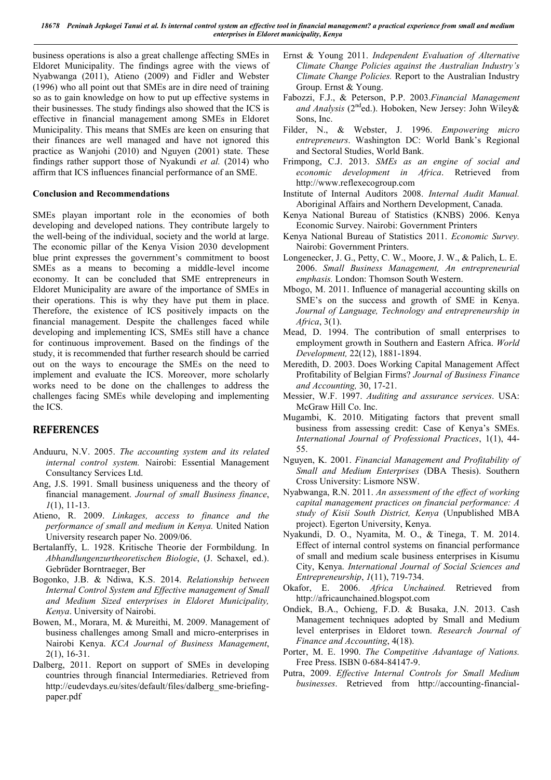*18678 Peninah Jepkogei Tanui et al. Is internal control system an effective tool in financial management? a practical experience from small and medium enterprises in Eldoret municipality, Kenya*

business operations is also a great challenge affecting SMEs in Eldoret Municipality. The findings agree with the views of Nyabwanga (2011), Atieno (2009) and Fidler and Webster (1996) who all point out that SMEs are in dire need of training so as to gain knowledge on how to put up effective systems in their businesses. The study findings also showed that the ICS is effective in financial management among SMEs in Eldoret Municipality. This means that SMEs are keen on ensuring that their finances are well managed and have not ignored this practice as Wanjohi (2010) and Nguyen (2001) state. These findings rather support those of Nyakundi *et al.* (2014) who affirm that ICS influences financial performance of an SME.

### Conclusion and Recommendations

SMEs playan important role in the economies of both developing and developed nations. They contribute largely to the well-being of the individual, society and the world at large. The economic pillar of the Kenya Vision 2030 development blue print expresses the government's commitment to boost SMEs as a means to becoming a middle-level income economy. It can be concluded that SME entrepreneurs in Eldoret Municipality are aware of the importance of SMEs in their operations. This is why they have put them in place. Therefore, the existence of ICS positively impacts on the financial management. Despite the challenges faced while developing and implementing ICS, SMEs still have a chance for continuous improvement. Based on the findings of the study, it is recommended that further research should be carried out on the ways to encourage the SMEs on the need to implement and evaluate the ICS. Moreover, more scholarly works need to be done on the challenges to address the challenges facing SMEs while developing and implementing the ICS.

### **REFERENCES**

- Anduuru, N.V. 2005. *The accounting system and its related internal control system.* Nairobi: Essential Management Consultancy Services Ltd.
- Ang, J.S. 1991. Small business uniqueness and the theory of financial management. *Journal of small Business finance*, *1*(1), 11-13.
- Atieno, R. 2009. *Linkages, access to finance and the performance of small and medium in Kenya.* United Nation University research paper No. 2009/06.
- Bertalanffy, L. 1928. Kritische Theorie der Formbildung. In *Abhandlungenzurtheoretischen Biologie*, (J. Schaxel, ed.). Gebrüder Borntraeger, Ber
- Bogonko, J.B. & Ndiwa, K.S. 2014. *Relationship between Internal Control System and Effective management of Small and Medium Sized enterprises in Eldoret Municipality, Kenya*. University of Nairobi.
- Bowen, M., Morara, M. & Mureithi, M. 2009. Management of business challenges among Small and micro-enterprises in Nairobi Kenya. *KCA Journal of Business Management*, 2(1), 16-31.
- Dalberg, 2011. Report on support of SMEs in developing countries through financial Intermediaries. Retrieved from http://eudevdays.eu/sites/default/files/dalberg\_sme-briefingpaper.pdf
- Ernst & Young 2011. *Independent Evaluation of Alternative Climate Change Policies against the Australian Industry's Climate Change Policies.* Report to the Australian Industry Group. Ernst & Young.
- Fabozzi, F.J., & Peterson, P.P. 2003.*Financial Management*  and Analysis (2<sup>nd</sup>ed.). Hoboken, New Jersey: John Wiley& Sons, Inc.
- Filder, N., & Webster, J. 1996. *Empowering micro entrepreneurs*. Washington DC: World Bank's Regional and Sectoral Studies, World Bank.
- Frimpong, C.J. 2013. *SMEs as an engine of social and economic development in Africa*. Retrieved from http://www.reflexecogroup.com
- Institute of Internal Auditors 2008. *Internal Audit Manual.* Aboriginal Affairs and Northern Development, Canada.
- Kenya National Bureau of Statistics (KNBS) 2006. Kenya Economic Survey. Nairobi: Government Printers
- Kenya National Bureau of Statistics 2011. *Economic Survey.* Nairobi: Government Printers.
- Longenecker, J. G., Petty, C. W., Moore, J. W., & Palich, L. E. 2006. *Small Business Management, An entrepreneurial emphasis.* London: Thomson South Western.
- Mbogo, M. 2011. Influence of managerial accounting skills on SME's on the success and growth of SME in Kenya. *Journal of Language, Technology and entrepreneurship in Africa*, 3(1).
- Mead, D. 1994. The contribution of small enterprises to employment growth in Southern and Eastern Africa. *World Development,* 22(12), 1881-1894.
- Meredith, D. 2003. Does Working Capital Management Affect Profitability of Belgian Firms? *Journal of Business Finance and Accounting,* 30, 17-21.
- Messier, W.F. 1997. *Auditing and assurance services*. USA: McGraw Hill Co. Inc.
- Mugambi, K. 2010. Mitigating factors that prevent small business from assessing credit: Case of Kenya's SMEs. *International Journal of Professional Practices*, 1(1), 44- 55.
- Nguyen, K. 2001. *Financial Management and Profitability of Small and Medium Enterprises* (DBA Thesis). Southern Cross University: Lismore NSW.
- Nyabwanga, R.N. 2011. *An assessment of the effect of working capital management practices on financial performance: A study of Kisii South District, Kenya* (Unpublished MBA project). Egerton University, Kenya.
- Nyakundi, D. O., Nyamita, M. O., & Tinega, T. M. 2014. Effect of internal control systems on financial performance of small and medium scale business enterprises in Kisumu City, Kenya. *International Journal of Social Sciences and Entrepreneurship*, *1*(11), 719-734.
- Okafor, E. 2006. *Africa Unchained.* Retrieved from http://africaunchained.blogspot.com
- Ondiek, B.A., Ochieng, F.D. & Busaka, J.N. 2013. Cash Management techniques adopted by Small and Medium level enterprises in Eldoret town. *Research Journal of Finance and Accounting*, 4(18).
- Porter, M. E. 1990. *The Competitive Advantage of Nations.* Free Press. ISBN 0-684-84147-9.
- Putra, 2009. *Effective Internal Controls for Small Medium businesses*. Retrieved from http://accounting-financial-